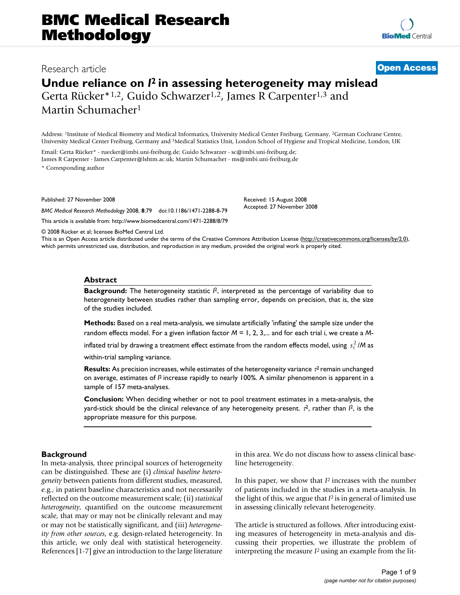# **BMC Medical Research Methodology**

## Research article **[Open Access](http://www.biomedcentral.com/info/about/charter/) Undue reliance on** *I***2 in assessing heterogeneity may mislead**

Gerta Rücker\*1,2, Guido Schwarzer1,2, James R Carpenter1,3 and Martin Schumacher1

Address: 1Institute of Medical Biometry and Medical Informatics, University Medical Center Freiburg, Germany, 2German Cochrane Centre, University Medical Center Freiburg, Germany and 3Medical Statistics Unit, London School of Hygiene and Tropical Medicine, London, UK

Email: Gerta Rücker\* - ruecker@imbi.uni-freiburg.de; Guido Schwarzer - sc@imbi.uni-freiburg.de; James R Carpenter - James.Carpenter@lshtm.ac.uk; Martin Schumacher - ms@imbi.uni-freiburg.de \* Corresponding author

Published: 27 November 2008

*BMC Medical Research Methodology* 2008, **8**:79 doi:10.1186/1471-2288-8-79

[This article is available from: http://www.biomedcentral.com/1471-2288/8/79](http://www.biomedcentral.com/1471-2288/8/79)

© 2008 Rücker et al; licensee BioMed Central Ltd.

This is an Open Access article distributed under the terms of the Creative Commons Attribution License [\(http://creativecommons.org/licenses/by/2.0\)](http://creativecommons.org/licenses/by/2.0), which permits unrestricted use, distribution, and reproduction in any medium, provided the original work is properly cited.

Received: 15 August 2008 Accepted: 27 November 2008

#### **Abstract**

**Background:** The heterogeneity statistic  $l^2$ , interpreted as the percentage of variability due to heterogeneity between studies rather than sampling error, depends on precision, that is, the size of the studies included.

**Methods:** Based on a real meta-analysis, we simulate artificially 'inflating' the sample size under the random effects model. For a given inflation factor *M* = 1, 2, 3,... and for each trial *i*, we create a *M*-

inflated trial by drawing a treatment effect estimate from the random effects model, using  $\,s_i^{\,2}/\mathsf{M}\,$ as

within-trial sampling variance.

**Results:** As precision increases, while estimates of the heterogeneity variance τ<sup>2</sup> remain unchanged on average, estimates of *I<sup>2</sup>* increase rapidly to nearly 100%. A similar phenomenon is apparent in a sample of 157 meta-analyses.

**Conclusion:** When deciding whether or not to pool treatment estimates in a meta-analysis, the yard-stick should be the clinical relevance of any heterogeneity present.  $\vec{\bf r}$ , rather than  ${\bf\it l}$ , is the appropriate measure for this purpose.

#### **Background**

In meta-analysis, three principal sources of heterogeneity can be distinguished. These are (i) *clinical baseline heterogeneity* between patients from different studies, measured, e.g., in patient baseline characteristics and not necessarily reflected on the outcome measurement scale; (ii) *statistical heterogeneity*, quantified on the outcome measurement scale, that may or may not be clinically relevant and may or may not be statistically significant, and (iii) *heterogeneity from other sources*, e.g. design-related heterogeneity. In this article, we only deal with statistical heterogeneity. References [1-7] give an introduction to the large literature in this area. We do not discuss how to assess clinical baseline heterogeneity.

In this paper, we show that *I*2 increases with the number of patients included in the studies in a meta-analysis. In the light of this, we argue that *I*2 is in general of limited use in assessing clinically relevant heterogeneity.

The article is structured as follows. After introducing existing measures of heterogeneity in meta-analysis and discussing their properties, we illustrate the problem of interpreting the measure *I*2 using an example from the lit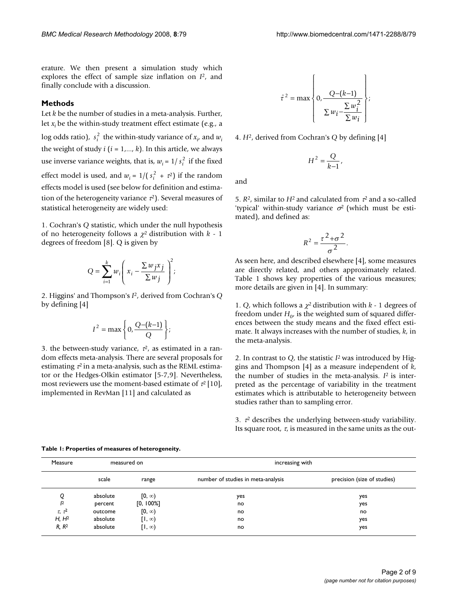erature. We then present a simulation study which explores the effect of sample size inflation on *I*2, and finally conclude with a discussion.

### **Methods**

Let *k* be the number of studies in a meta-analysis. Further, let *xi* be the within-study treatment effect estimate (e.g., a log odds ratio),  $s_i^2$  the within-study variance of  $x_i$ , and  $w_i$ the weight of study  $i$  ( $i = 1,..., k$ ). In this article, we always use inverse variance weights, that is,  $w_i = 1/s_i^2$  if the fixed effect model is used, and  $w_i = 1/(s_i^2 + \tau^2)$  if the random effects model is used (see below for definition and estimation of the heterogeneity variance  $\tau^2$ ). Several measures of statistical heterogeneity are widely used:

1. Cochran's *Q* statistic, which under the null hypothesis of no heterogeneity follows a χ2 distribution with *k* - 1 degrees of freedom [8]. Q is given by

$$
Q = \sum_{i=1}^{k} w_i \left( x_i - \frac{\sum w_j x_j}{\sum w_j} \right)^2;
$$

2. Higgins' and Thompson's *I*2, derived from Cochran's *Q* by defining [4]

$$
I^2 = \max\left\{0, \frac{Q-(k-1)}{Q}\right\};
$$

3. the between-study variance,  $\tau^2$ , as estimated in a random effects meta-analysis. There are several proposals for estimating  $\tau^2$  in a meta-analysis, such as the REML estimator or the Hedges-Olkin estimator [5-7,9]. Nevertheless, most reviewers use the moment-based estimate of  $\tau^2$  [10], implemented in RevMan [11] and calculated as

$$
\hat{\tau}^2 = \max \left\{ 0, \frac{Q - (k-1)}{\sum w_i - \frac{\sum w_i^2}{\sum w_i}} \right\};
$$

4. *H*2, derived from Cochran's *Q* by defining [4]

$$
H^2=\frac{Q}{k{-}1},
$$

and

5. *R*2, similar to *H*2 and calculated from τ2 and a so-called 'typical' within-study variance  $\sigma^2$  (which must be estimated), and defined as:

$$
R^2 = \frac{\tau^2 + \sigma^2}{\sigma^2}.
$$

As seen here, and described elsewhere [4], some measures are directly related, and others approximately related. Table 1 shows key properties of the various measures; more details are given in [4]. In summary:

1. *Q*, which follows a  $\chi^2$  distribution with  $k$  - 1 degrees of freedom under  $H_0$ , is the weighted sum of squared differences between the study means and the fixed effect estimate. It always increases with the number of studies, *k*, in the meta-analysis.

2. In contrast to *Q*, the statistic *I*2 was introduced by Higgins and Thompson [4] as a measure independent of *k*, the number of studies in the meta-analysis. *I*2 is interpreted as the percentage of variability in the treatment estimates which is attributable to heterogeneity between studies rather than to sampling error.

3.  $\tau^2$  describes the underlying between-study variability. Its square root,  $\tau$ , is measured in the same units as the out-

| Measure           | measured on |               | increasing with                    |                             |
|-------------------|-------------|---------------|------------------------------------|-----------------------------|
|                   | scale       | range         | number of studies in meta-analysis | precision (size of studies) |
| Q                 | absolute    | $[0, \infty)$ | yes                                | yes                         |
| $\mathsf{I}^2$    | percent     | [0, 100%]     | no                                 | yes                         |
| $\tau$ , $\tau^2$ | outcome     | $[0, \infty)$ | no                                 | no                          |
| H, H <sup>2</sup> | absolute    | $[1, \infty)$ | no                                 | yes                         |
| R, R <sup>2</sup> | absolute    | $[1, \infty)$ | no                                 | yes                         |

#### **Table 1: Properties of measures of heterogeneity.**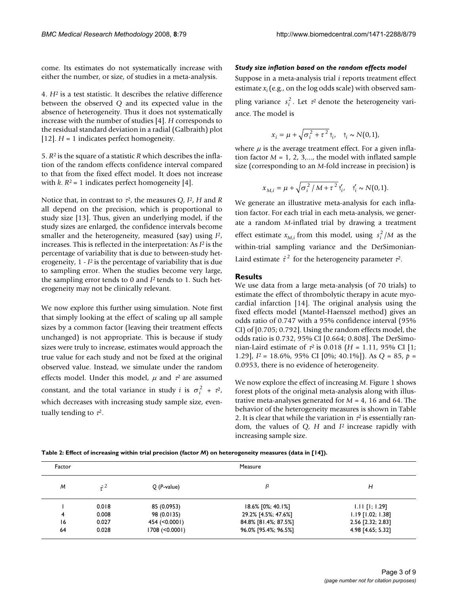come. Its estimates do not systematically increase with either the number, or size, of studies in a meta-analysis.

4. *H*2 is a test statistic. It describes the relative difference between the observed *Q* and its expected value in the absence of heterogeneity. Thus it does not systematically increase with the number of studies [4]. *H* corresponds to the residual standard deviation in a radial (Galbraith) plot [12]. *H* = 1 indicates perfect homogeneity.

5. *R*2 is the square of a statistic *R* which describes the inflation of the random effects confidence interval compared to that from the fixed effect model. It does not increase with  $k$ .  $R^2 = 1$  indicates perfect homogeneity [4].

Notice that, in contrast to τ2, the measures *Q*, *I*2, *H* and *R* all depend on the precision, which is proportional to study size [13]. Thus, given an underlying model, if the study sizes are enlarged, the confidence intervals become smaller and the heterogeneity, measured (say) using *I*2, increases. This is reflected in the interpretation: As *I*2 is the percentage of variability that is due to between-study heterogeneity, 1 - *I*2 is the percentage of variability that is due to sampling error. When the studies become very large, the sampling error tends to 0 and *I*2 tends to 1. Such heterogeneity may not be clinically relevant.

We now explore this further using simulation. Note first that simply looking at the effect of scaling up all sample sizes by a common factor (leaving their treatment effects unchanged) is not appropriate. This is because if study sizes were truly to increase, estimates would approach the true value for each study and not be fixed at the original observed value. Instead, we simulate under the random effects model. Under this model,  $\mu$  and  $\tau^2$  are assumed constant, and the total variance in study *i* is  $\sigma_i^2 + \tau^2$ , which decreases with increasing study sample size, eventually tending to  $\tau^2$ .

#### *Study size inflation based on the random effects model*

Suppose in a meta-analysis trial *i* reports treatment effect estimate  $x_i$  (e.g., on the log odds scale) with observed sam-

pling variance  $s_i^2$ . Let  $\tau^2$  denote the heterogeneity variance. The model is

$$
x_i = \mu + \sqrt{\sigma_i^2 + \tau^2} t_i, \quad t_i \sim N(0, 1),
$$

where  $\mu$  is the average treatment effect. For a given inflation factor  $M = 1, 2, 3, \dots$ , the model with inflated sample size (corresponding to an *M*-fold increase in precision) is

$$
x_{M,i} = \mu + \sqrt{\sigma_i^2 / M + \tau^2} t'_i, \quad t'_i \sim N(0,1).
$$

We generate an illustrative meta-analysis for each inflation factor. For each trial in each meta-analysis, we generate a random *M*-inflated trial by drawing a treatment effect estimate  $x_{M,i}$  from this model, using  $s_i^2/M$  as the within-trial sampling variance and the DerSimonian-Laird estimate  $\hat{\tau}^2$  for the heterogeneity parameter  $\tau^2$ .

#### **Results**

We use data from a large meta-analysis (of 70 trials) to estimate the effect of thrombolytic therapy in acute myocardial infarction [14]. The original analysis using the fixed effects model (Mantel-Haenszel method) gives an odds ratio of 0.747 with a 95% confidence interval (95% CI) of [0.705; 0.792]. Using the random effects model, the odds ratio is 0.732, 95% CI [0.664; 0.808]. The DerSimonian-Laird estimate of  $\tau^2$  is 0.018 (*H* = 1.11, 95% CI [1; 1.29], *I*2 = 18.6%, 95% CI [0%; 40.1%]). As *Q* = 85, *p* = 0.0953, there is no evidence of heterogeneity.

We now explore the effect of increasing *M*. Figure 1 shows forest plots of the original meta-analysis along with illustrative meta-analyses generated for *M* = 4, 16 and 64. The behavior of the heterogeneity measures is shown in Table 2. It is clear that while the variation in  $\tau^2$  is essentially random, the values of *Q*, *H* and *I*2 increase rapidly with increasing sample size.

**Table 2: Effect of increasing within trial precision (factor** *M***) on heterogeneity measures (data in [14]).**

| Factor | Measure     |                        |                      |                     |  |
|--------|-------------|------------------------|----------------------|---------------------|--|
| M      | $\hat{r}^2$ | $Q$ ( <i>P</i> -value) | 12                   | Н                   |  |
|        | 0.018       | 85 (0.0953)            | 18.6% [0%; 40.1%]    | $1.11$ [1; 1.29]    |  |
| 4      | 0.008       | 98 (0.0135)            | 29.2% [4.5%; 47.6%]  | $1.19$ [1.02; 1.38] |  |
| 16     | 0.027       | 454 (< 0.000 l)        | 84.8% [81.4%; 87.5%] | 2.56 [2.32; 2.83]   |  |
| 64     | 0.028       | 1708 (< 0.0001)        | 96.0% [95.4%; 96.5%] | 4.98 [4.65; 5.32]   |  |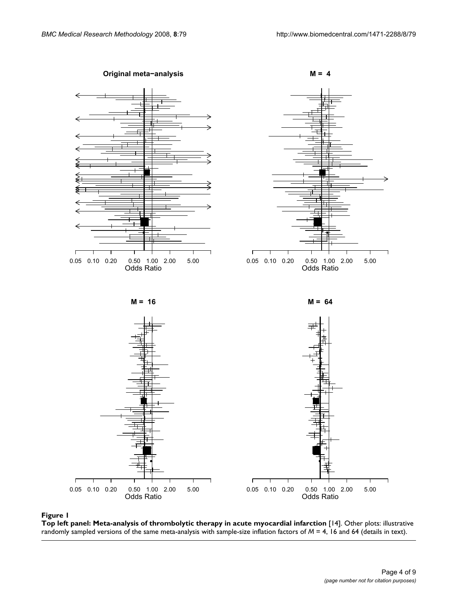

#### Top left panel: Meta-analysis of **Figure 1** thrombolytic therapy in acute myocardial infarction [14]

**Top left panel: Meta-analysis of thrombolytic therapy in acute myocardial infarction** [14]. Other plots: illustrative randomly sampled versions of the same meta-analysis with sample-size inflation factors of *M* = 4, 16 and 64 (details in text).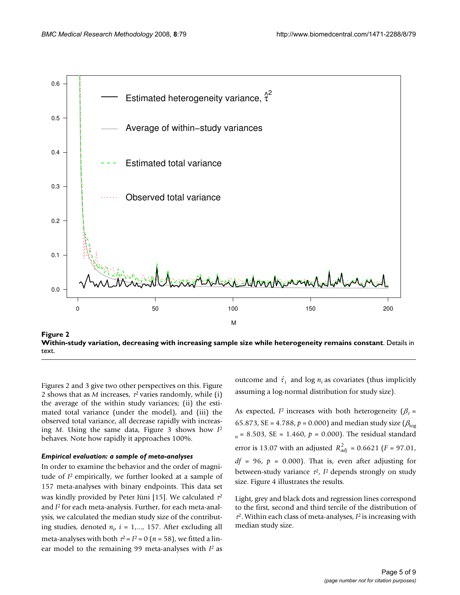

Within-study variation, decreasing with increasing **Figure 2** sample size while heterogeneity remains constant **Within-study variation, decreasing with increasing sample size while heterogeneity remains constant**. Details in text.

Figures 2 and 3 give two other perspectives on this. Figure 2 shows that as *M* increases,  $\tau^2$  varies randomly, while (i) the average of the within study variances; (ii) the estimated total variance (under the model), and (iii) the observed total variance, all decrease rapidly with increasing *M*. Using the same data, Figure 3 shows how *I*<sup>2</sup> behaves. Note how rapidly it approaches 100%.

#### *Empirical evaluation: a sample of meta-analyses*

In order to examine the behavior and the order of magnitude of *I*2 empirically, we further looked at a sample of 157 meta-analyses with binary endpoints. This data set was kindly provided by Peter Jüni [15]. We calculated  $\tau^2$ and *I*2 for each meta-analysis. Further, for each meta-analysis, we calculated the median study size of the contributing studies, denoted  $n_i$ ,  $i = 1,..., 157$ . After excluding all meta-analyses with both  $\tau^2 = I^2 = 0$  ( $n = 58$ ), we fitted a linear model to the remaining 99 meta-analyses with *I*2 as

outcome and  $\hat{\tau}_i$  and log  $n_i$  as covariates (thus implicitly assuming a log-normal distribution for study size).

As expected, *I*<sup>2</sup> increases with both heterogeneity ( $\beta_{\tau}$  = 65.873, SE = 4.788,  $p = 0.000$ ) and median study size ( $\beta_{\text{loc}}$ ) *<sup>n</sup>*= 8.503, SE = 1.460, *p* = 0.000). The residual standard error is 13.07 with an adjusted  $R_{adj}^2 = 0.6621$  (*F* = 97.01,  $df = 96$ ,  $p = 0.000$ . That is, even after adjusting for between-study variance  $\tau^2$ ,  $I^2$  depends strongly on study size. Figure 4 illustrates the results.

Light, grey and black dots and regression lines correspond to the first, second and third tercile of the distribution of  $\tau^2$ . Within each class of meta-analyses,  $I^2$  is increasing with median study size.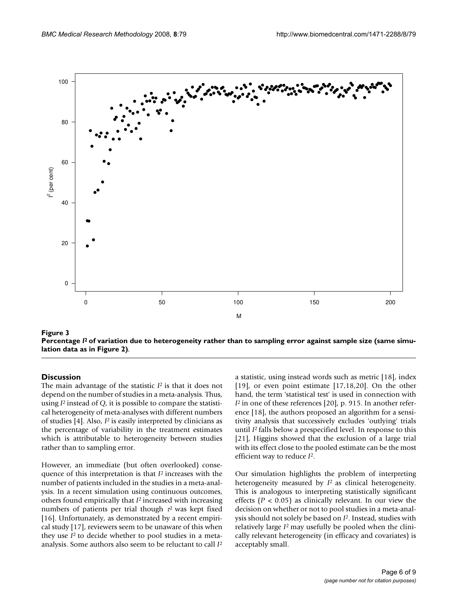

Percentage *I* Figure 2) **Figure 3** 2 of variation due to heterogeneity rather than to sampling error against sample size (same simulation data as in **Percentage** *I***2 of variation due to heterogeneity rather than to sampling error against sample size (same simulation data as in Figure 2)**.

#### **Discussion**

The main advantage of the statistic *I*2 is that it does not depend on the number of studies in a meta-analysis. Thus, using *I*2 instead of *Q*, it is possible to compare the statistical heterogeneity of meta-analyses with different numbers of studies [4]. Also, *I*2 is easily interpreted by clinicians as the percentage of variability in the treatment estimates which is attributable to heterogeneity between studies rather than to sampling error.

However, an immediate (but often overlooked) consequence of this interpretation is that *I*2 increases with the number of patients included in the studies in a meta-analysis. In a recent simulation using continuous outcomes, others found empirically that *I*2 increased with increasing numbers of patients per trial though  $\tau^2$  was kept fixed [16]. Unfortunately, as demonstrated by a recent empirical study [17], reviewers seem to be unaware of this when they use *I*2 to decide whether to pool studies in a metaanalysis. Some authors also seem to be reluctant to call *I*<sup>2</sup> a statistic, using instead words such as metric [18], index [19], or even point estimate  $[17,18,20]$ . On the other hand, the term 'statistical test' is used in connection with *I*<sup>2</sup> in one of these references [20], p. 915. In another reference [18], the authors proposed an algorithm for a sensitivity analysis that successively excludes 'outlying' trials until *I*2 falls below a prespecified level. In response to this [21], Higgins showed that the exclusion of a large trial with its effect close to the pooled estimate can be the most efficient way to reduce *I*2.

Our simulation highlights the problem of interpreting heterogeneity measured by *I*2 as clinical heterogeneity. This is analogous to interpreting statistically significant effects ( $P < 0.05$ ) as clinically relevant. In our view the decision on whether or not to pool studies in a meta-analysis should not solely be based on *I*2. Instead, studies with relatively large *I*2 may usefully be pooled when the clinically relevant heterogeneity (in efficacy and covariates) is acceptably small.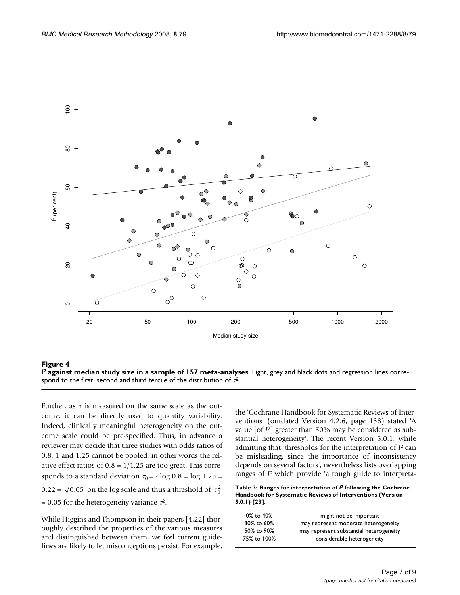

*I I***I** *I***I** *I I***I** *I I I I I I I I I I I***2 against median study size in a sample of 157 meta-analyses**. Light, grey and black dots and regression lines correspond to the first, second and third tercile of the distribution of  $\tau^2$ .

Further, as  $\tau$  is measured on the same scale as the outcome, it can be directly used to quantify variability. Indeed, clinically meaningful heterogeneity on the outcome scale could be pre-specified. Thus, in advance a reviewer may decide that three studies with odds ratios of 0.8, 1 and 1.25 cannot be pooled; in other words the relative effect ratios of  $0.8 = 1/1.25$  are too great. This corresponds to a standard deviation  $\tau_0$  = - log 0.8 = log 1.25 = 0.22 =  $\sqrt{0.05}$  on the log scale and thus a threshold of  $\tau_0^2$ = 0.05 for the heterogeneity variance  $\tau^2$ .

While Higgins and Thompson in their papers [4,22] thoroughly described the properties of the various measures and distinguished between them, we feel current guidelines are likely to let misconceptions persist. For example,

the 'Cochrane Handbook for Systematic Reviews of Interventions' (outdated Version 4.2.6, page 138) stated 'A value [of *I*2] greater than 50% may be considered as substantial heterogeneity'. The recent Version 5.0.1, while admitting that 'thresholds for the interpretation of *I*2 can be misleading, since the importance of inconsistency depends on several factors', nevertheless lists overlapping ranges of *I*2 which provide 'a rough guide to interpreta-

**Table 3: Ranges for interpretation of** *I***2 following the Cochrane Handbook for Systematic Reviews of Interventions (Version 5.0.1) [23].**

| $0\%$ to $40\%$ | might not be important                  |
|-----------------|-----------------------------------------|
| 30% to 60%      | may represent moderate heterogeneity    |
| 50% to 90%      | may represent substantial heterogeneity |
| 75% to 100%     | considerable heterogeneity              |
|                 |                                         |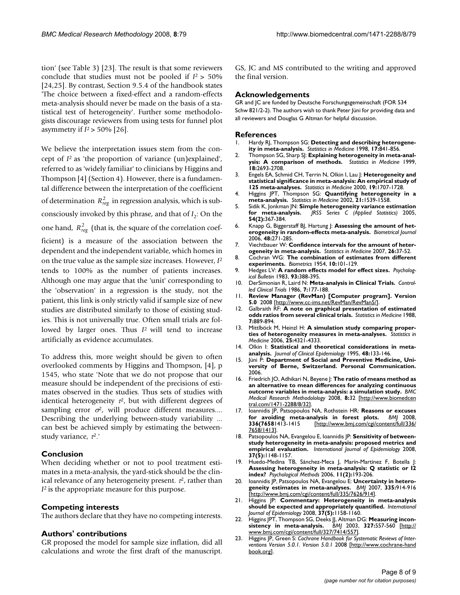tion' (see Table 3) [23]. The result is that some reviewers conclude that studies must not be pooled if *I*2 > 50% [24,25]. By contrast, Section 9.5.4 of the handbook states 'The choice between a fixed-effect and a random-effects meta-analysis should never be made on the basis of a statistical test of heterogeneity'. Further some methodologists discourage reviewers from using tests for funnel plot asymmetry if  $I^2$  > 50% [26].

We believe the interpretation issues stem from the concept of *I*2 as 'the proportion of variance (un)explained', referred to as 'widely familiar' to clinicians by Higgins and Thompson [4] (Section 4). However, there is a fundamental difference between the interpretation of the coefficient of determination  $R_{reg}^2$  in regression analysis, which is subconsciously invoked by this phrase, and that of  $I_2$ : On the one hand,  $R_{reg}^2$  (that is, the square of the correlation coefficient) is a measure of the association between the dependent and the independent variable, which homes in on the true value as the sample size increases. However, *I*<sup>2</sup> tends to 100% as the number of patients increases. Although one may argue that the 'unit' corresponding to the 'observation' in a regression is the study, not the patient, this link is only strictly valid if sample size of new studies are distributed similarly to those of existing studies. This is not universally true. Often small trials are followed by larger ones. Thus *I*2 will tend to increase artificially as evidence accumulates.

To address this, more weight should be given to often overlooked comments by Higgins and Thompson, [4], p 1545, who state 'Note that we do not propose that our measure should be independent of the precisions of estimates observed in the studies. Thus sets of studies with identical heterogeneity  $\tau^2$ , but with different degrees of sampling error  $\sigma^2$ , will produce different measures.... Describing the underlying between-study variability ... can best be achieved simply by estimating the betweenstudy variance, τ2.'

#### **Conclusion**

When deciding whether or not to pool treatment estimates in a meta-analysis, the yard-stick should be the clinical relevance of any heterogeneity present.  $\tau^2$ , rather than *I*2 is the appropriate measure for this purpose.

#### **Competing interests**

The authors declare that they have no competing interests.

#### **Authors' contributions**

GR proposed the model for sample size inflation, did all calculations and wrote the first draft of the manuscript. GS, JC and MS contributed to the writing and approved the final version.

#### **Acknowledgements**

GR and JC are funded by Deutsche Forschungsgemeinschaft (FOR 534 Schw 821/2-2). The authors wish to thank Peter Jüni for providing data and all reviewers and Douglas G Altman for helpful discussion.

#### **References**

- 1. Hardy RJ, Thompson SG: **[Detecting and describing heterogene](http://www.ncbi.nlm.nih.gov/entrez/query.fcgi?cmd=Retrieve&db=PubMed&dopt=Abstract&list_uids=9595615)[ity in meta-analysis.](http://www.ncbi.nlm.nih.gov/entrez/query.fcgi?cmd=Retrieve&db=PubMed&dopt=Abstract&list_uids=9595615)** *Statistics in Medicine* 1998, **17:**841-856.
- 2. Thompson SG, Sharp SJ: **[Explaining heterogeneity in meta-anal](http://www.ncbi.nlm.nih.gov/entrez/query.fcgi?cmd=Retrieve&db=PubMed&dopt=Abstract&list_uids=10521860)[ysis: A comparison of methods.](http://www.ncbi.nlm.nih.gov/entrez/query.fcgi?cmd=Retrieve&db=PubMed&dopt=Abstract&list_uids=10521860)** *Statistics in Medicine* 1999, **18:**2693-2708.
- 3. Engels EA, Schmid CH, Terrin N, Olkin I, Lau J: **[Heterogeneity and](http://www.ncbi.nlm.nih.gov/entrez/query.fcgi?cmd=Retrieve&db=PubMed&dopt=Abstract&list_uids=10861773) [statistical significance in meta-analysis: An empirical study of](http://www.ncbi.nlm.nih.gov/entrez/query.fcgi?cmd=Retrieve&db=PubMed&dopt=Abstract&list_uids=10861773) [125 meta-analyses.](http://www.ncbi.nlm.nih.gov/entrez/query.fcgi?cmd=Retrieve&db=PubMed&dopt=Abstract&list_uids=10861773)** *Statistics in Medicine* 2000, **19:**1707-1728.
- 4. Higgins JPT, Thompson SG: **[Quantifying heterogeneity in a](http://www.ncbi.nlm.nih.gov/entrez/query.fcgi?cmd=Retrieve&db=PubMed&dopt=Abstract&list_uids=12111919) [meta-analysis.](http://www.ncbi.nlm.nih.gov/entrez/query.fcgi?cmd=Retrieve&db=PubMed&dopt=Abstract&list_uids=12111919)** *Statistics in Medicine* 2002, **21:**1539-1558.
- 5. Sidik K, Jonkman JN: **Simple heterogeneity variance estimation for meta-analysis.** *JRSS Series C (Applied Statistics)* 2005, **54(2):**367-384.
- 6. Knapp G, Biggerstaff BJ, Hartung J: **[Assessing the amount of het](http://www.ncbi.nlm.nih.gov/entrez/query.fcgi?cmd=Retrieve&db=PubMed&dopt=Abstract&list_uids=16708778)[erogeneity in random-effects meta-analysis.](http://www.ncbi.nlm.nih.gov/entrez/query.fcgi?cmd=Retrieve&db=PubMed&dopt=Abstract&list_uids=16708778)** *Biometrical Journal* 2006, **48:**271-285.
- 7. Viechtbauer W: **[Confidence intervals for the amount of heter](http://www.ncbi.nlm.nih.gov/entrez/query.fcgi?cmd=Retrieve&db=PubMed&dopt=Abstract&list_uids=16463355)[ogeneity in meta-analysis.](http://www.ncbi.nlm.nih.gov/entrez/query.fcgi?cmd=Retrieve&db=PubMed&dopt=Abstract&list_uids=16463355)** *Statistics in Medicine* 2007, **26:**37-52.
- 8. Cochran WG: **The combination of estimates from different experiments.** *Biometrics* 1954, **10:**101-129.
- 9. Hedges LV: **A random effects model for effect sizes.** *Psychological Bulletin* 1983, **93:**388-395.
- 10. DerSimonian R, Laird N: **[Meta-analysis in Clinical Trials.](http://www.ncbi.nlm.nih.gov/entrez/query.fcgi?cmd=Retrieve&db=PubMed&dopt=Abstract&list_uids=3802833)** *Controlled Clinical Trials* 1986, **7:**177-188.
- 11. **Review Manager (RevMan) [Computer program]. Version 5.0** 2008 [\[http://www.cc-ims.net/RevMan/RevMan5/](http://www.cc-ims.net/RevMan/RevMan5/)].
- 12. Galbraith RF: **[A note on graphical presentation of estimated](http://www.ncbi.nlm.nih.gov/entrez/query.fcgi?cmd=Retrieve&db=PubMed&dopt=Abstract&list_uids=3413368) [odds ratios from several clinical trials.](http://www.ncbi.nlm.nih.gov/entrez/query.fcgi?cmd=Retrieve&db=PubMed&dopt=Abstract&list_uids=3413368)** *Statistics in Medicine* 1988, **7:**889-894.
- 13. Mittlböck M, Heinzl H: **[A simulation study comparing proper](http://www.ncbi.nlm.nih.gov/entrez/query.fcgi?cmd=Retrieve&db=PubMed&dopt=Abstract&list_uids=16991104)[ties of heterogeneity measures in meta-analyses.](http://www.ncbi.nlm.nih.gov/entrez/query.fcgi?cmd=Retrieve&db=PubMed&dopt=Abstract&list_uids=16991104)** *Statistics in Medicine* 2006, **25:**4321-4333.
- 14. Olkin I: [Statistical and theoretical considerations in meta](http://www.ncbi.nlm.nih.gov/entrez/query.fcgi?cmd=Retrieve&db=PubMed&dopt=Abstract&list_uids=7853039)**[analysis.](http://www.ncbi.nlm.nih.gov/entrez/query.fcgi?cmd=Retrieve&db=PubMed&dopt=Abstract&list_uids=7853039)** *Journal of Clinical Epidemiology* 1995, **48:**133-146.
- 15. Jüni P: **Department of Social and Preventive Medicine, University of Berne, Switzerland. Personal Communication.** 2006.
- 16. Friedrich JO, Adhikari N, Beyene J: **The ratio of means method as an alternative to mean differences for analyzing continuous outcome variables in meta-analysis: a simulation study.** *BMC Medical Research Methodolology* 2008, **8:**32 [[http://www.biomedcen](http://www.biomedcentral.com/1471-2288/8/32) [tral.com/1471-2288/8/32](http://www.biomedcentral.com/1471-2288/8/32)].
- 17. Ioannidis JP, Patsopoulos NA, Rothstein HR: **[Reasons or excuses](http://www.ncbi.nlm.nih.gov/entrez/query.fcgi?cmd=Retrieve&db=PubMed&dopt=Abstract&list_uids=18566080) [for avoiding meta-analysis in forest plots.](http://www.ncbi.nlm.nih.gov/entrez/query.fcgi?cmd=Retrieve&db=PubMed&dopt=Abstract&list_uids=18566080)**<br>336(76581413-1415 [http://www.bmj.com/cgi/con [\[http://www.bmj.com/cgi/content/full/336/](http://www.bmj.com/cgi/content/full/336/7658/1413) [7658/1413](http://www.bmj.com/cgi/content/full/336/7658/1413)].
- 18. Patsopoulos NA, Evangelou E, Ioannidis JP: **[Sensitivity of between](http://www.ncbi.nlm.nih.gov/entrez/query.fcgi?cmd=Retrieve&db=PubMed&dopt=Abstract&list_uids=18424475)[study heterogeneity in meta-analysis: proposed metrics and](http://www.ncbi.nlm.nih.gov/entrez/query.fcgi?cmd=Retrieve&db=PubMed&dopt=Abstract&list_uids=18424475) [empirical evaluation.](http://www.ncbi.nlm.nih.gov/entrez/query.fcgi?cmd=Retrieve&db=PubMed&dopt=Abstract&list_uids=18424475)** *International Journal of Epidemiology* 2008, **37(5):**1148-1157.
- 19. Huedo-Medina TB, Sánchez-Meca J, Marín-Martínez F, Botella J: **[Assessing heterogeneity in meta-analysis: Q statistic or I2](http://www.ncbi.nlm.nih.gov/entrez/query.fcgi?cmd=Retrieve&db=PubMed&dopt=Abstract&list_uids=16784338) [index?](http://www.ncbi.nlm.nih.gov/entrez/query.fcgi?cmd=Retrieve&db=PubMed&dopt=Abstract&list_uids=16784338)** *Psychological Methods* 2006, **11(2):**193-206.
- 20. Ioannidis JP, Patsopoulos NA, Evangelou E: **[Uncertainty in hetero](http://www.ncbi.nlm.nih.gov/entrez/query.fcgi?cmd=Retrieve&db=PubMed&dopt=Abstract&list_uids=17974687)[geneity estimates in meta-analyses.](http://www.ncbi.nlm.nih.gov/entrez/query.fcgi?cmd=Retrieve&db=PubMed&dopt=Abstract&list_uids=17974687)** *BMJ* 2007, **335:**914-916 [[http://www.bmj.com/cgi/content/full/335/7626/914\]](http://www.bmj.com/cgi/content/full/335/7626/914).
- 21. Higgins JP: **[Commentary: Heterogeneity in meta-analysis](http://www.ncbi.nlm.nih.gov/entrez/query.fcgi?cmd=Retrieve&db=PubMed&dopt=Abstract&list_uids=18832388) [should be expected and appropriately quantified.](http://www.ncbi.nlm.nih.gov/entrez/query.fcgi?cmd=Retrieve&db=PubMed&dopt=Abstract&list_uids=18832388)** *International Journal of Epidemiology* 2008, **37(5):**1158-1160.
- 22. Higgins JPT, Thompson SG, Deeks JJ, Altman DG: [Measuring incon](http://www.ncbi.nlm.nih.gov/entrez/query.fcgi?cmd=Retrieve&db=PubMed&dopt=Abstract&list_uids=12958120)**[sistency in meta-analysis.](http://www.ncbi.nlm.nih.gov/entrez/query.fcgi?cmd=Retrieve&db=PubMed&dopt=Abstract&list_uids=12958120)** *BMJ* 2003, **327:**557-560 [\[http://](http://www.bmj.com/cgi/content/full/327/7414/557) [www.bmj.com/cgi/content/full/327/7414/557\]](http://www.bmj.com/cgi/content/full/327/7414/557).
- 23. Higgins JP, Green S: *Cochrane Handbook for Systematic Reviews of Interventions Version 5.0.1. Version 5.0.1* 2008 [[http://www.cochrane-hand](http://www.cochrane-handbook.org) [book.org](http://www.cochrane-handbook.org)].